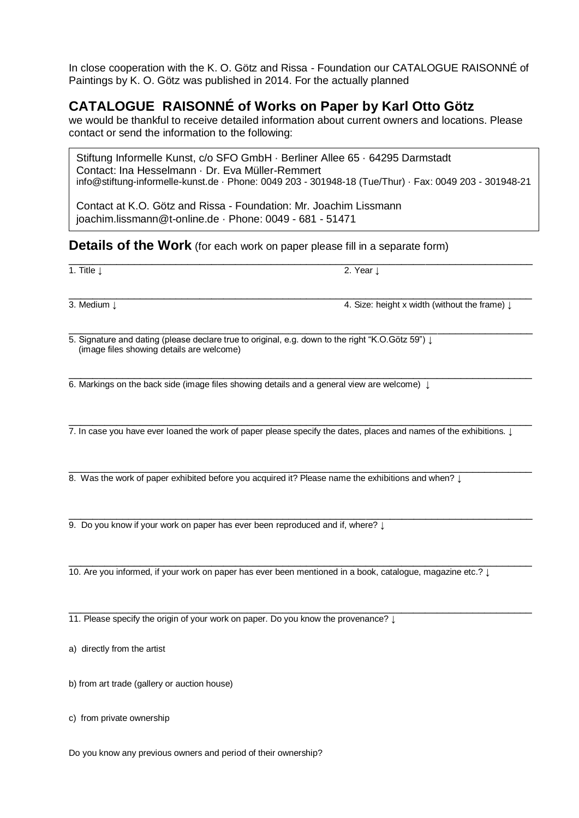In close cooperation with the K. O. Götz and Rissa - Foundation our CATALOGUE RAISONNÉ of Paintings by K. O. Götz was published in 2014. For the actually planned

## **CATALOGUE RAISONNÉ of Works on Paper by Karl Otto Götz**

we would be thankful to receive detailed information about current owners and locations. Please contact or send the information to the following:

Stiftung Informelle Kunst, c/o SFO GmbH · Berliner Allee 65 · 64295 Darmstadt Contact: Ina Hesselmann · Dr. Eva Müller-Remmert info@stiftung-informelle-kunst.de · Phone: 0049 203 - 301948-18 (Tue/Thur) · Fax: 0049 203 - 301948-21

\_\_\_\_\_\_\_\_\_\_\_\_\_\_\_\_\_\_\_\_\_\_\_\_\_\_\_\_\_\_\_\_\_\_\_\_\_\_\_\_\_\_\_\_\_\_\_\_\_\_\_\_\_\_\_\_\_\_\_\_\_\_\_\_\_\_\_\_\_\_\_\_\_\_\_\_\_\_

Contact at K.O. Götz and Rissa - Foundation: Mr. Joachim Lissmann joachim.lissmann@t-online.de · Phone: 0049 - 681 - 51471

## **Details of the Work** (for each work on paper please fill in a separate form)

1. Title ↓ 2. Year ↓

\_\_\_\_\_\_\_\_\_\_\_\_\_\_\_\_\_\_\_\_\_\_\_\_\_\_\_\_\_\_\_\_\_\_\_\_\_\_\_\_\_\_\_\_\_\_\_\_\_\_\_\_\_\_\_\_\_\_\_\_\_\_\_\_\_\_\_\_\_\_\_\_\_\_\_\_\_\_ 3. Medium ↓ 4. Size: height x width (without the frame) ↓

\_\_\_\_\_\_\_\_\_\_\_\_\_\_\_\_\_\_\_\_\_\_\_\_\_\_\_\_\_\_\_\_\_\_\_\_\_\_\_\_\_\_\_\_\_\_\_\_\_\_\_\_\_\_\_\_\_\_\_\_\_\_\_\_\_\_\_\_\_\_\_\_\_\_\_\_\_\_ 5. Signature and dating (please declare true to original, e.g. down to the right "K.O.Götz 59") ↓ (image files showing details are welcome)

\_\_\_\_\_\_\_\_\_\_\_\_\_\_\_\_\_\_\_\_\_\_\_\_\_\_\_\_\_\_\_\_\_\_\_\_\_\_\_\_\_\_\_\_\_\_\_\_\_\_\_\_\_\_\_\_\_\_\_\_\_\_\_\_\_\_\_\_\_\_\_\_\_\_\_\_\_\_ 6. Markings on the back side (image files showing details and a general view are welcome)  $\downarrow$ 

\_\_\_\_\_\_\_\_\_\_\_\_\_\_\_\_\_\_\_\_\_\_\_\_\_\_\_\_\_\_\_\_\_\_\_\_\_\_\_\_\_\_\_\_\_\_\_\_\_\_\_\_\_\_\_\_\_\_\_\_\_\_\_\_\_\_\_\_\_\_\_\_\_\_\_\_\_\_ 7. In case you have ever loaned the work of paper please specify the dates, places and names of the exhibitions. ↓

\_\_\_\_\_\_\_\_\_\_\_\_\_\_\_\_\_\_\_\_\_\_\_\_\_\_\_\_\_\_\_\_\_\_\_\_\_\_\_\_\_\_\_\_\_\_\_\_\_\_\_\_\_\_\_\_\_\_\_\_\_\_\_\_\_\_\_\_\_\_\_\_\_\_\_\_\_\_ 8. Was the work of paper exhibited before you acquired it? Please name the exhibitions and when? ↓

\_\_\_\_\_\_\_\_\_\_\_\_\_\_\_\_\_\_\_\_\_\_\_\_\_\_\_\_\_\_\_\_\_\_\_\_\_\_\_\_\_\_\_\_\_\_\_\_\_\_\_\_\_\_\_\_\_\_\_\_\_\_\_\_\_\_\_\_\_\_\_\_\_\_\_\_\_\_ 9. Do you know if your work on paper has ever been reproduced and if, where? ↓

\_\_\_\_\_\_\_\_\_\_\_\_\_\_\_\_\_\_\_\_\_\_\_\_\_\_\_\_\_\_\_\_\_\_\_\_\_\_\_\_\_\_\_\_\_\_\_\_\_\_\_\_\_\_\_\_\_\_\_\_\_\_\_\_\_\_\_\_\_\_\_\_\_\_\_\_\_\_ 10. Are you informed, if your work on paper has ever been mentioned in a book, catalogue, magazine etc.? ↓

\_\_\_\_\_\_\_\_\_\_\_\_\_\_\_\_\_\_\_\_\_\_\_\_\_\_\_\_\_\_\_\_\_\_\_\_\_\_\_\_\_\_\_\_\_\_\_\_\_\_\_\_\_\_\_\_\_\_\_\_\_\_\_\_\_\_\_\_\_\_\_\_\_\_\_\_\_\_ 11. Please specify the origin of your work on paper. Do you know the provenance? ↓

a) directly from the artist

b) from art trade (gallery or auction house)

c) from private ownership

Do you know any previous owners and period of their ownership?